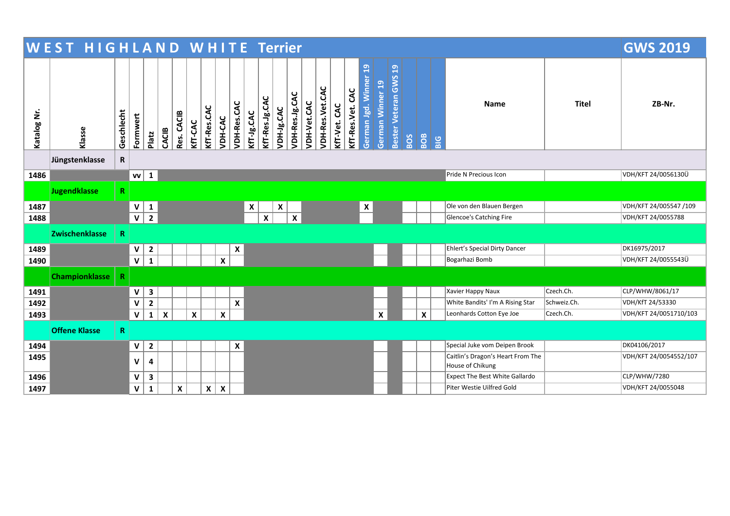|             |                       | <b>WEST HIGHLAND WHITE Terrier</b> |              |                         |                           |            |                    |              |                           |                    |            |                |            |                  |             | <b>GWS 2019</b> |              |                     |                                    |                           |                                  |     |                           |             |                                                       |             |                        |
|-------------|-----------------------|------------------------------------|--------------|-------------------------|---------------------------|------------|--------------------|--------------|---------------------------|--------------------|------------|----------------|------------|------------------|-------------|-----------------|--------------|---------------------|------------------------------------|---------------------------|----------------------------------|-----|---------------------------|-------------|-------------------------------------------------------|-------------|------------------------|
| Katalog Nr. | Klasse                | Geschlecht                         | Formwert     | Platz                   | CACIB                     | Res. CACIB | KfT-CAC            | KfT-Res.CAC  | VDH-CAC                   | VDH-Res.CAC        | KfT-Jg.CAC | KfT-Res.Jg.CAC | VDH-Jg.CAC | VDH-Res.Jg.CAC   | VDH-Vet.CAC | VDH-Res.Vet.CAC | KfT-Vet. CAC | CAC<br>KfT-Res.Vet. | $\mathbf{a}$<br>German Jgd. Winner | German Winner 19          | Bester Veteran GWS <sub>19</sub> | BOS | <b>BOB</b>                | $rac{G}{B}$ | <b>Name</b>                                           | Titel       | ZB-Nr.                 |
|             | Jüngstenklasse        | R                                  |              |                         |                           |            |                    |              |                           |                    |            |                |            |                  |             |                 |              |                     |                                    |                           |                                  |     |                           |             |                                                       |             |                        |
| 1486        |                       |                                    | $vv$ 1       |                         |                           |            |                    |              |                           |                    |            |                |            |                  |             |                 |              |                     |                                    |                           |                                  |     |                           |             | Pride N Precious Icon                                 |             | VDH/KFT 24/0056130Ü    |
|             | <b>Jugendklasse</b>   | $\mathbf R$                        |              |                         |                           |            |                    |              |                           |                    |            |                |            |                  |             |                 |              |                     |                                    |                           |                                  |     |                           |             |                                                       |             |                        |
| 1487        |                       |                                    | $\mathbf V$  | $\mathbf{1}$            |                           |            |                    |              |                           |                    | X          |                | X          |                  |             |                 |              |                     | X                                  |                           |                                  |     |                           |             | Ole von den Blauen Bergen                             |             | VDH/KFT 24/005547 /109 |
| 1488        |                       |                                    | $\mathbf v$  | $\overline{2}$          |                           |            |                    |              |                           |                    |            | $\pmb{\times}$ |            | $\boldsymbol{x}$ |             |                 |              |                     |                                    |                           |                                  |     |                           |             | Glencoe's Catching Fire                               |             | VDH/KFT 24/0055788     |
|             | Zwischenklasse        | R.                                 |              |                         |                           |            |                    |              |                           |                    |            |                |            |                  |             |                 |              |                     |                                    |                           |                                  |     |                           |             |                                                       |             |                        |
| 1489        |                       |                                    | V            | $\overline{2}$          |                           |            |                    |              |                           | $\pmb{\mathsf{x}}$ |            |                |            |                  |             |                 |              |                     |                                    |                           |                                  |     |                           |             | Ehlert's Special Dirty Dancer                         |             | DK16975/2017           |
| 1490        |                       |                                    | $\mathbf V$  | $\mathbf{1}$            |                           |            |                    |              | $\boldsymbol{x}$          |                    |            |                |            |                  |             |                 |              |                     |                                    |                           |                                  |     |                           |             | Bogarhazi Bomb                                        |             | VDH/KFT 24/0055543Ü    |
|             | <b>Championklasse</b> | $\mathbf R$                        |              |                         |                           |            |                    |              |                           |                    |            |                |            |                  |             |                 |              |                     |                                    |                           |                                  |     |                           |             |                                                       |             |                        |
| 1491        |                       |                                    | $\mathsf{V}$ | $\mathbf{3}$            |                           |            |                    |              |                           |                    |            |                |            |                  |             |                 |              |                     |                                    |                           |                                  |     |                           |             | Xavier Happy Naux                                     | Czech.Ch.   | CLP/WHW/8061/17        |
| 1492        |                       |                                    | $\mathbf V$  | $\mathbf 2$             |                           |            |                    |              |                           | $\pmb{\mathsf{X}}$ |            |                |            |                  |             |                 |              |                     |                                    |                           |                                  |     |                           |             | White Bandits' I'm A Rising Star                      | Schweiz.Ch. | VDH/KfT 24/53330       |
| 1493        |                       |                                    | $\mathbf V$  | $\mathbf{1}$            | $\boldsymbol{\mathsf{x}}$ |            | $\pmb{\mathsf{x}}$ |              | $\pmb{\mathsf{x}}$        |                    |            |                |            |                  |             |                 |              |                     |                                    | $\boldsymbol{\mathsf{X}}$ |                                  |     | $\boldsymbol{\mathsf{x}}$ |             | Leonhards Cotton Eye Joe                              | Czech.Ch.   | VDH/KFT 24/0051710/103 |
|             | <b>Offene Klasse</b>  | $\mathbf R$                        |              |                         |                           |            |                    |              |                           |                    |            |                |            |                  |             |                 |              |                     |                                    |                           |                                  |     |                           |             |                                                       |             |                        |
| 1494        |                       |                                    | V            | $\overline{\mathbf{2}}$ |                           |            |                    |              |                           | $\pmb{\mathsf{x}}$ |            |                |            |                  |             |                 |              |                     |                                    |                           |                                  |     |                           |             | Special Juke vom Deipen Brook                         |             | DK04106/2017           |
| 1495        |                       |                                    | V            | 4                       |                           |            |                    |              |                           |                    |            |                |            |                  |             |                 |              |                     |                                    |                           |                                  |     |                           |             | Caitlin's Dragon's Heart From The<br>House of Chikung |             | VDH/KFT 24/0054552/107 |
| 1496        |                       |                                    | V            | $\mathbf{3}$            |                           |            |                    |              |                           |                    |            |                |            |                  |             |                 |              |                     |                                    |                           |                                  |     |                           |             | <b>Expect The Best White Gallardo</b>                 |             | CLP/WHW/7280           |
| 1497        |                       |                                    | $\mathbf v$  | $\mathbf{1}$            |                           | X          |                    | $\mathsf{x}$ | $\boldsymbol{\mathsf{X}}$ |                    |            |                |            |                  |             |                 |              |                     |                                    |                           |                                  |     |                           |             | Piter Westie Uilfred Gold                             |             | VDH/KFT 24/0055048     |